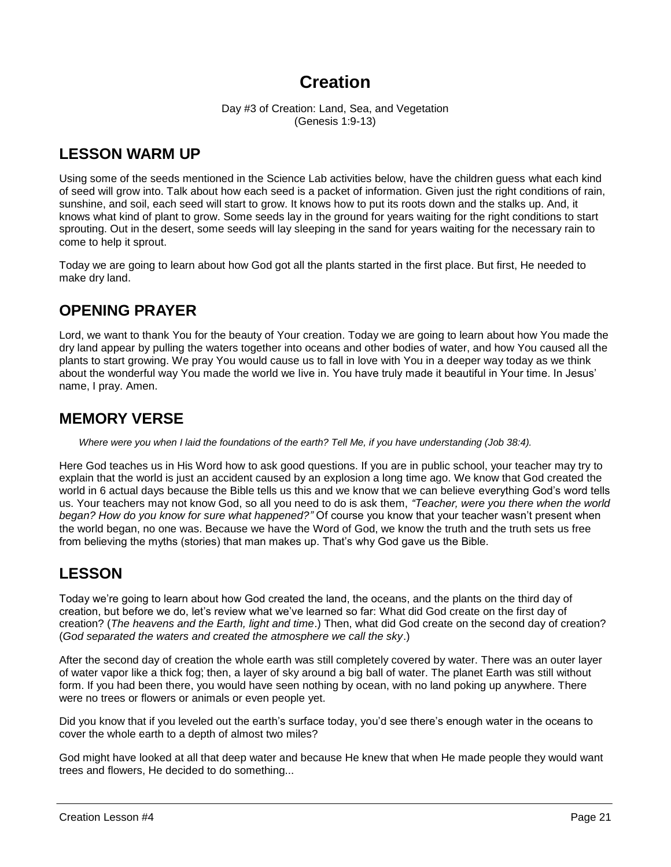# **Creation**

Day #3 of Creation: Land, Sea, and Vegetation (Genesis 1:9-13)

### **LESSON WARM UP**

Using some of the seeds mentioned in the Science Lab activities below, have the children guess what each kind of seed will grow into. Talk about how each seed is a packet of information. Given just the right conditions of rain, sunshine, and soil, each seed will start to grow. It knows how to put its roots down and the stalks up. And, it knows what kind of plant to grow. Some seeds lay in the ground for years waiting for the right conditions to start sprouting. Out in the desert, some seeds will lay sleeping in the sand for years waiting for the necessary rain to come to help it sprout.

Today we are going to learn about how God got all the plants started in the first place. But first, He needed to make dry land.

## **OPENING PRAYER**

Lord, we want to thank You for the beauty of Your creation. Today we are going to learn about how You made the dry land appear by pulling the waters together into oceans and other bodies of water, and how You caused all the plants to start growing. We pray You would cause us to fall in love with You in a deeper way today as we think about the wonderful way You made the world we live in. You have truly made it beautiful in Your time. In Jesus' name, I pray. Amen.

### **MEMORY VERSE**

*Where were you when I laid the foundations of the earth? Tell Me, if you have understanding (Job 38:4).*

Here God teaches us in His Word how to ask good questions. If you are in public school, your teacher may try to explain that the world is just an accident caused by an explosion a long time ago. We know that God created the world in 6 actual days because the Bible tells us this and we know that we can believe everything God's word tells us. Your teachers may not know God, so all you need to do is ask them, *"Teacher, were you there when the world began? How do you know for sure what happened?"* Of course you know that your teacher wasn't present when the world began, no one was. Because we have the Word of God, we know the truth and the truth sets us free from believing the myths (stories) that man makes up. That's why God gave us the Bible.

## **LESSON**

Today we're going to learn about how God created the land, the oceans, and the plants on the third day of creation, but before we do, let's review what we've learned so far: What did God create on the first day of creation? (*The heavens and the Earth, light and time*.) Then, what did God create on the second day of creation? (*God separated the waters and created the atmosphere we call the sky*.)

After the second day of creation the whole earth was still completely covered by water. There was an outer layer of water vapor like a thick fog; then, a layer of sky around a big ball of water. The planet Earth was still without form. If you had been there, you would have seen nothing by ocean, with no land poking up anywhere. There were no trees or flowers or animals or even people yet.

Did you know that if you leveled out the earth's surface today, you'd see there's enough water in the oceans to cover the whole earth to a depth of almost two miles?

God might have looked at all that deep water and because He knew that when He made people they would want trees and flowers, He decided to do something...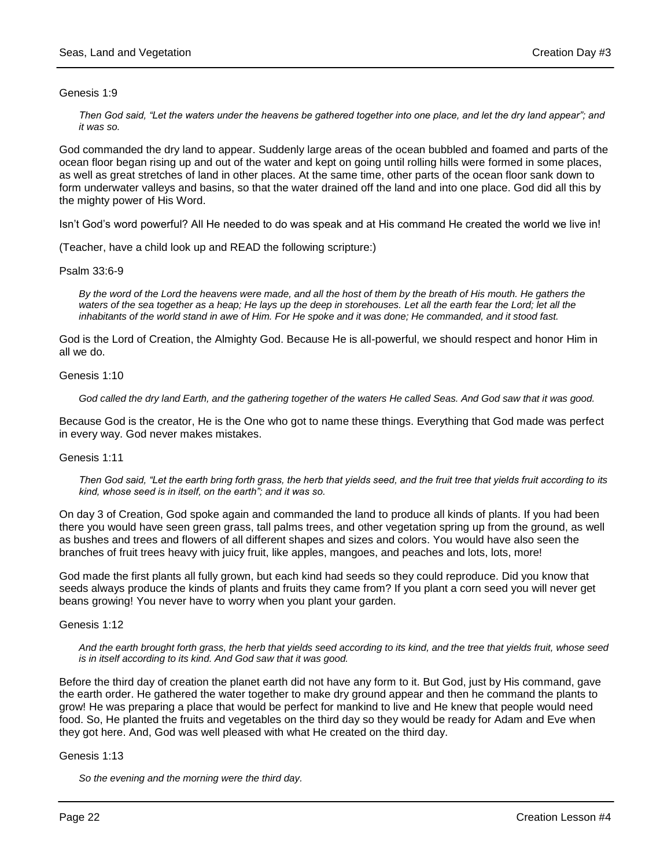### Genesis 1:9

*Then God said, "Let the waters under the heavens be gathered together into one place, and let the dry land appear"; and it was so.*

God commanded the dry land to appear. Suddenly large areas of the ocean bubbled and foamed and parts of the ocean floor began rising up and out of the water and kept on going until rolling hills were formed in some places, as well as great stretches of land in other places. At the same time, other parts of the ocean floor sank down to form underwater valleys and basins, so that the water drained off the land and into one place. God did all this by the mighty power of His Word.

Isn't God's word powerful? All He needed to do was speak and at His command He created the world we live in!

(Teacher, have a child look up and READ the following scripture:)

### Psalm 33:6-9

*By the word of the Lord the heavens were made, and all the host of them by the breath of His mouth. He gathers the*  waters of the sea together as a heap; He lays up the deep in storehouses. Let all the earth fear the Lord; let all the *inhabitants of the world stand in awe of Him. For He spoke and it was done; He commanded, and it stood fast.*

God is the Lord of Creation, the Almighty God. Because He is all-powerful, we should respect and honor Him in all we do.

#### Genesis 1:10

*God called the dry land Earth, and the gathering together of the waters He called Seas. And God saw that it was good.*

Because God is the creator, He is the One who got to name these things. Everything that God made was perfect in every way. God never makes mistakes.

### Genesis 1:11

*Then God said, "Let the earth bring forth grass, the herb that yields seed, and the fruit tree that yields fruit according to its kind, whose seed is in itself, on the earth"; and it was so.*

On day 3 of Creation, God spoke again and commanded the land to produce all kinds of plants. If you had been there you would have seen green grass, tall palms trees, and other vegetation spring up from the ground, as well as bushes and trees and flowers of all different shapes and sizes and colors. You would have also seen the branches of fruit trees heavy with juicy fruit, like apples, mangoes, and peaches and lots, lots, more!

God made the first plants all fully grown, but each kind had seeds so they could reproduce. Did you know that seeds always produce the kinds of plants and fruits they came from? If you plant a corn seed you will never get beans growing! You never have to worry when you plant your garden.

### Genesis 1:12

*And the earth brought forth grass, the herb that yields seed according to its kind, and the tree that yields fruit, whose seed is in itself according to its kind. And God saw that it was good.* 

Before the third day of creation the planet earth did not have any form to it. But God, just by His command, gave the earth order. He gathered the water together to make dry ground appear and then he command the plants to grow! He was preparing a place that would be perfect for mankind to live and He knew that people would need food. So, He planted the fruits and vegetables on the third day so they would be ready for Adam and Eve when they got here. And, God was well pleased with what He created on the third day.

### Genesis 1:13

*So the evening and the morning were the third day.*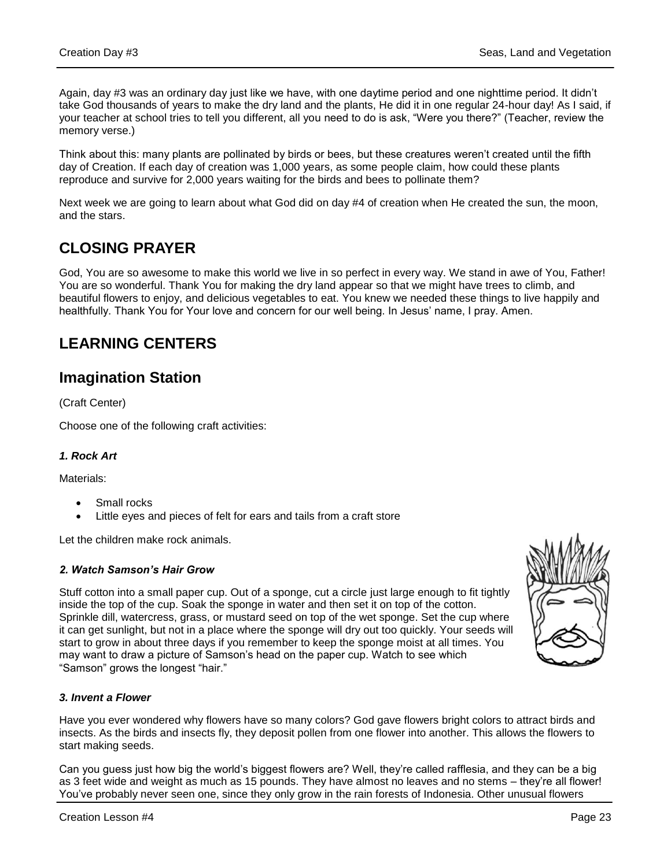Again, day #3 was an ordinary day just like we have, with one daytime period and one nighttime period. It didn't take God thousands of years to make the dry land and the plants, He did it in one regular 24-hour day! As I said, if your teacher at school tries to tell you different, all you need to do is ask, "Were you there?" (Teacher, review the memory verse.)

Think about this: many plants are pollinated by birds or bees, but these creatures weren't created until the fifth day of Creation. If each day of creation was 1,000 years, as some people claim, how could these plants reproduce and survive for 2,000 years waiting for the birds and bees to pollinate them?

Next week we are going to learn about what God did on day #4 of creation when He created the sun, the moon, and the stars.

## **CLOSING PRAYER**

God, You are so awesome to make this world we live in so perfect in every way. We stand in awe of You, Father! You are so wonderful. Thank You for making the dry land appear so that we might have trees to climb, and beautiful flowers to enjoy, and delicious vegetables to eat. You knew we needed these things to live happily and healthfully. Thank You for Your love and concern for our well being. In Jesus' name, I pray. Amen.

## **LEARNING CENTERS**

### **Imagination Station**

(Craft Center)

Choose one of the following craft activities:

### *1. Rock Art*

Materials:

- Small rocks
- Little eyes and pieces of felt for ears and tails from a craft store

Let the children make rock animals.

### *2. Watch Samson's Hair Grow*

Stuff cotton into a small paper cup. Out of a sponge, cut a circle just large enough to fit tightly inside the top of the cup. Soak the sponge in water and then set it on top of the cotton. Sprinkle dill, watercress, grass, or mustard seed on top of the wet sponge. Set the cup where it can get sunlight, but not in a place where the sponge will dry out too quickly. Your seeds will start to grow in about three days if you remember to keep the sponge moist at all times. You may want to draw a picture of Samson's head on the paper cup. Watch to see which "Samson" grows the longest "hair."



Have you ever wondered why flowers have so many colors? God gave flowers bright colors to attract birds and insects. As the birds and insects fly, they deposit pollen from one flower into another. This allows the flowers to start making seeds.

Can you guess just how big the world's biggest flowers are? Well, they're called rafflesia, and they can be a big as 3 feet wide and weight as much as 15 pounds. They have almost no leaves and no stems – they're all flower! You've probably never seen one, since they only grow in the rain forests of Indonesia. Other unusual flowers

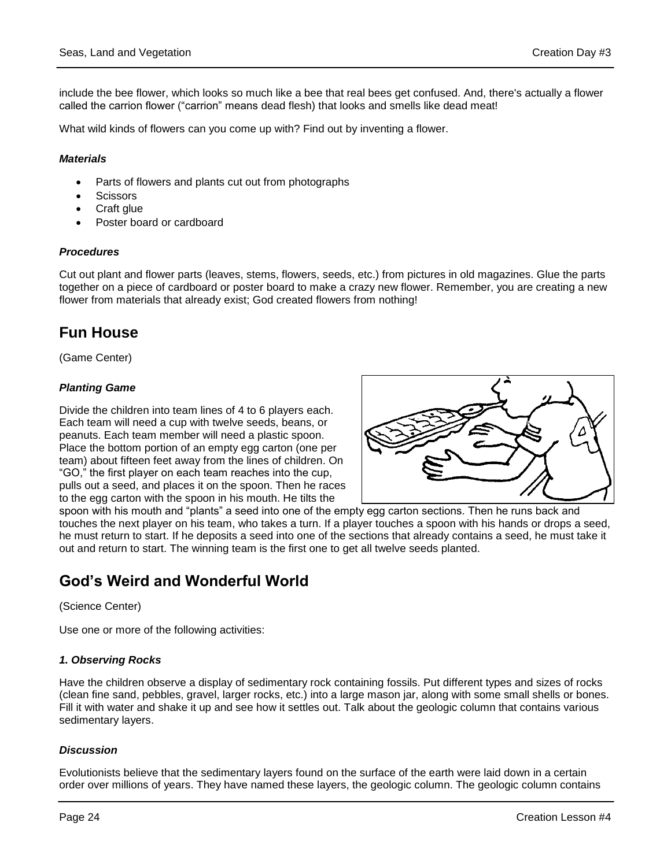include the bee flower, which looks so much like a bee that real bees get confused. And, there's actually a flower called the carrion flower ("carrion" means dead flesh) that looks and smells like dead meat!

What wild kinds of flowers can you come up with? Find out by inventing a flower.

### *Materials*

- Parts of flowers and plants cut out from photographs
- **Scissors**
- Craft glue
- Poster board or cardboard

### *Procedures*

Cut out plant and flower parts (leaves, stems, flowers, seeds, etc.) from pictures in old magazines. Glue the parts together on a piece of cardboard or poster board to make a crazy new flower. Remember, you are creating a new flower from materials that already exist; God created flowers from nothing!

### **Fun House**

(Game Center)

### *Planting Game*

Divide the children into team lines of 4 to 6 players each. Each team will need a cup with twelve seeds, beans, or peanuts. Each team member will need a plastic spoon. Place the bottom portion of an empty egg carton (one per team) about fifteen feet away from the lines of children. On "GO," the first player on each team reaches into the cup, pulls out a seed, and places it on the spoon. Then he races to the egg carton with the spoon in his mouth. He tilts the



spoon with his mouth and "plants" a seed into one of the empty egg carton sections. Then he runs back and touches the next player on his team, who takes a turn. If a player touches a spoon with his hands or drops a seed, he must return to start. If he deposits a seed into one of the sections that already contains a seed, he must take it out and return to start. The winning team is the first one to get all twelve seeds planted.

### **God's Weird and Wonderful World**

(Science Center)

Use one or more of the following activities:

### *1. Observing Rocks*

Have the children observe a display of sedimentary rock containing fossils. Put different types and sizes of rocks (clean fine sand, pebbles, gravel, larger rocks, etc.) into a large mason jar, along with some small shells or bones. Fill it with water and shake it up and see how it settles out. Talk about the geologic column that contains various sedimentary layers.

### *Discussion*

Evolutionists believe that the sedimentary layers found on the surface of the earth were laid down in a certain order over millions of years. They have named these layers, the geologic column. The geologic column contains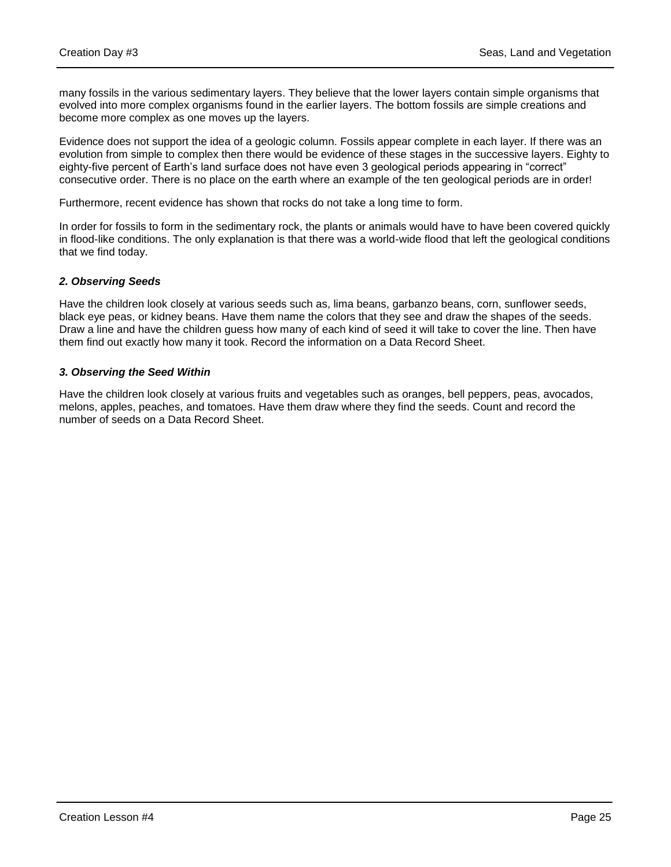many fossils in the various sedimentary layers. They believe that the lower layers contain simple organisms that evolved into more complex organisms found in the earlier layers. The bottom fossils are simple creations and become more complex as one moves up the layers.

Evidence does not support the idea of a geologic column. Fossils appear complete in each layer. If there was an evolution from simple to complex then there would be evidence of these stages in the successive layers. Eighty to eighty-five percent of Earth's land surface does not have even 3 geological periods appearing in "correct" consecutive order. There is no place on the earth where an example of the ten geological periods are in order!

Furthermore, recent evidence has shown that rocks do not take a long time to form.

In order for fossils to form in the sedimentary rock, the plants or animals would have to have been covered quickly in flood-like conditions. The only explanation is that there was a world-wide flood that left the geological conditions that we find today.

### *2. Observing Seeds*

Have the children look closely at various seeds such as, lima beans, garbanzo beans, corn, sunflower seeds, black eye peas, or kidney beans. Have them name the colors that they see and draw the shapes of the seeds. Draw a line and have the children guess how many of each kind of seed it will take to cover the line. Then have them find out exactly how many it took. Record the information on a Data Record Sheet.

### *3. Observing the Seed Within*

Have the children look closely at various fruits and vegetables such as oranges, bell peppers, peas, avocados, melons, apples, peaches, and tomatoes. Have them draw where they find the seeds. Count and record the number of seeds on a Data Record Sheet.